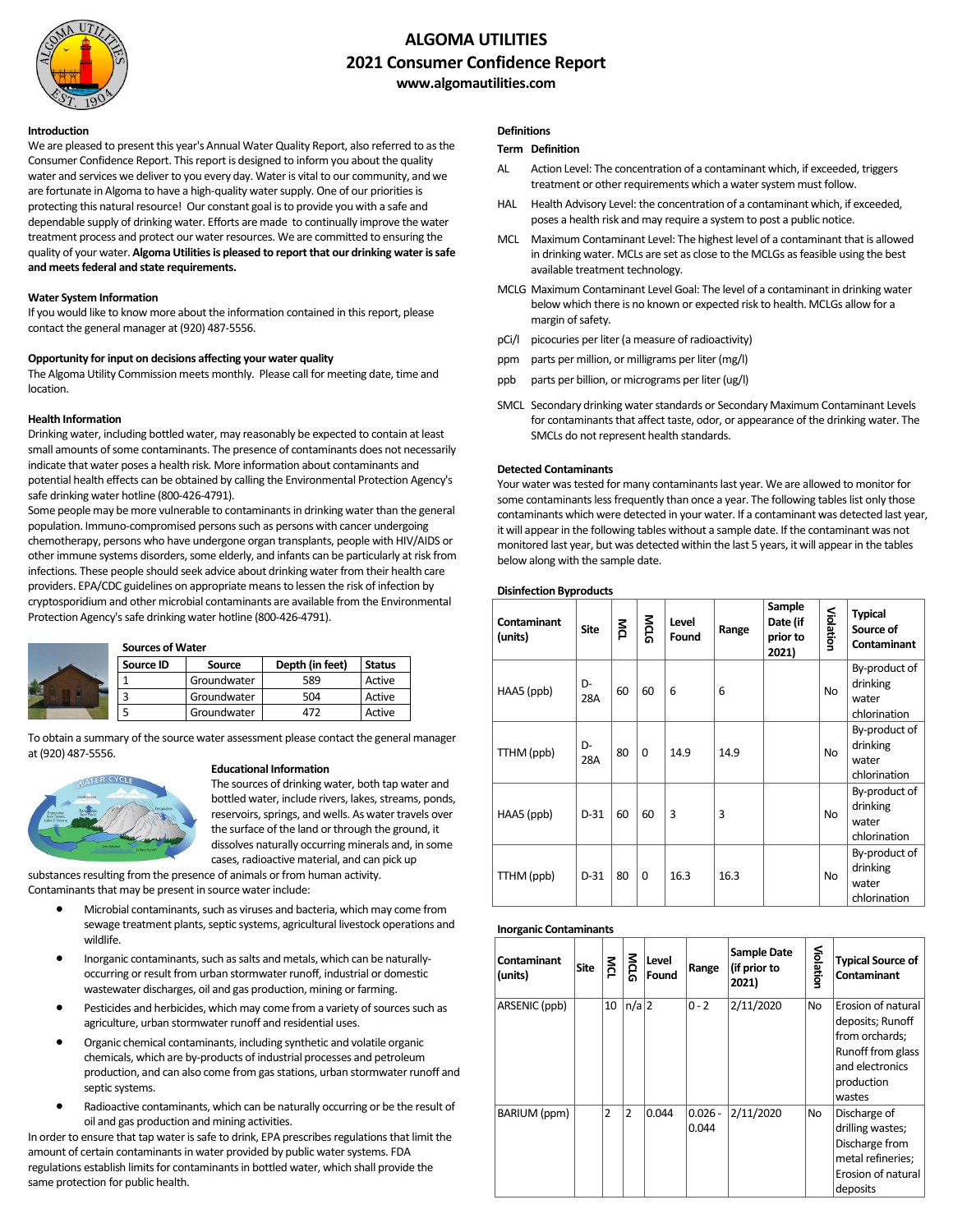

# **ALGOMA UTILITIES 2021 Consumer Confidence Report www.algomautilities.com**

#### **Introduction**

We are pleased to present this year's Annual Water Quality Report, also referred to as the Consumer Confidence Report. This report is designed to inform you about the quality water and services we deliver to you every day. Water is vital to our community, and we are fortunate in Algoma to have a high-quality water supply. One of our priorities is protecting this natural resource! Our constant goal is to provide you with a safe and dependable supply of drinking water. Efforts are made to continually improve the water treatment process and protect our water resources. We are committed to ensuring the quality of your water. **Algoma Utilities is pleased to report that our drinking water is safe and meets federal and state requirements.**

#### **Water System Information**

If you would like to know more about the information contained in this report, please contact the general manager at (920) 487-5556.

#### **Opportunity for input on decisions affecting your water quality**

The Algoma Utility Commission meets monthly. Please call for meeting date, time and location.

### **Health Information**

Drinking water, including bottled water, may reasonably be expected to contain at least small amounts of some contaminants. The presence of contaminants does not necessarily indicate that water poses a health risk. More information about contaminants and potential health effects can be obtained by calling the Environmental Protection Agency's safe drinking water hotline (800-426-4791).

Some people may be more vulnerable to contaminants in drinking water than the general population. Immuno-compromised persons such as persons with cancer undergoing chemotherapy, persons who have undergone organ transplants, people with HIV/AIDS or other immune systems disorders, some elderly, and infants can be particularly at risk from infections. These people should seek advice about drinking water from their health care providers. EPA/CDC guidelines on appropriate means to lessen the risk of infection by cryptosporidium and other microbial contaminants are available from the Environmental Protection Agency's safe drinking water hotline (800-426-4791).

#### **Sources of Water**

| Source ID | Source      | Depth (in feet) | <b>Status</b> |
|-----------|-------------|-----------------|---------------|
|           | Groundwater | 589             | Active        |
|           | Groundwater | 504             | Active        |
|           | Groundwater |                 | Active        |

To obtain a summary of the source water assessment please contact the general manager at (920) 487-5556.



### **Educational Information**

The sources of drinking water, both tap water and bottled water, include rivers, lakes, streams, ponds, reservoirs, springs, and wells. As water travels over the surface of the land or through the ground, it dissolves naturally occurring minerals and, in some cases, radioactive material, and can pick up

substances resulting from the presence of animals or from human activity. Contaminants that may be present in source water include:

- Microbial contaminants, such as viruses and bacteria, which may come from sewage treatment plants, septic systems, agricultural livestock operations and wildlife.
- Inorganic contaminants, such as salts and metals, which can be naturallyoccurring or result from urban stormwater runoff, industrial or domestic wastewater discharges, oil and gas production, mining or farming.
- Pesticides and herbicides, which may come from a variety of sources such as agriculture, urban stormwater runoff and residential uses.
- Organic chemical contaminants, including synthetic and volatile organic chemicals, which are by-products of industrial processes and petroleum production, and can also come from gas stations, urban stormwater runoff and septic systems.
- Radioactive contaminants, which can be naturally occurring or be the result of oil and gas production and mining activities.

In order to ensure that tap water is safe to drink, EPA prescribes regulations that limit the amount of certain contaminants in water provided by public water systems. FDA regulations establish limits for contaminants in bottled water, which shall provide the same protection for public health.

## **Definitions**

### **Term Definition**

- AL Action Level: The concentration of a contaminant which, if exceeded, triggers treatment or other requirements which a water system must follow.
- HAL Health Advisory Level: the concentration of a contaminant which, if exceeded, poses a health risk and may require a system to post a public notice.
- MCL Maximum Contaminant Level: The highest level of a contaminant that is allowed in drinking water. MCLs are set as close to the MCLGs as feasible using the best available treatment technology.
- MCLG Maximum Contaminant Level Goal: The level of a contaminant in drinking water below which there is no known or expected risk to health. MCLGs allow for a margin of safety.
- pCi/l picocuries per liter (a measure of radioactivity)
- ppm parts per million, or milligrams per liter (mg/l)
- ppb parts per billion, or micrograms per liter (ug/l)
- SMCL Secondary drinking water standards or Secondary Maximum Contaminant Levels for contaminants that affect taste, odor, or appearance of the drinking water. The SMCLs do not represent health standards.

### **Detected Contaminants**

**Disinfection Byproducts**

Your water was tested for many contaminants last year. We are allowed to monitor for some contaminants less frequently than once a year. The following tables list only those contaminants which were detected in your water. If a contaminant was detected last year, it will appear in the following tables without a sample date. If the contaminant was not monitored last year, but was detected within the last 5 years, it will appear in the tables below along with the sample date.

| Contaminant<br>(units) | <b>Site</b> | Йq | MCG      | Level<br>Found | Range | Sample<br>Date (if<br>prior to<br>2021) | Violation | <b>Typical</b><br>Source of<br><b>Contaminant</b>  |
|------------------------|-------------|----|----------|----------------|-------|-----------------------------------------|-----------|----------------------------------------------------|
| HAA5 (ppb)             | D-<br>28A   | 60 | 60       | 6              | 6     |                                         | <b>No</b> | By-product of<br>drinking<br>water<br>chlorination |
| TTHM (ppb)             | D-<br>28A   | 80 | $\Omega$ | 14.9           | 14.9  |                                         | <b>No</b> | By-product of<br>drinking<br>water<br>chlorination |
| HAA5 (ppb)             | $D-31$      | 60 | 60       | 3              | 3     |                                         | <b>No</b> | By-product of<br>drinking<br>water<br>chlorination |
| TTHM (ppb)             | $D-31$      | 80 | $\Omega$ | 16.3           | 16.3  |                                         | <b>No</b> | By-product of<br>drinking<br>water<br>chlorination |

#### **Inorganic Contaminants**

| Contaminant<br>(units) | <b>Site</b> | MCL | MCG      | Level<br>Found | Range              | <b>Sample Date</b><br>(if prior to<br>2021) | <b>Violatior</b> | <b>Typical Source of</b><br><b>Contaminant</b>                                                                           |
|------------------------|-------------|-----|----------|----------------|--------------------|---------------------------------------------|------------------|--------------------------------------------------------------------------------------------------------------------------|
| ARSENIC (ppb)          |             | 10  | $n/a$  2 |                | $0 - 2$            | 2/11/2020                                   | <b>No</b>        | Erosion of natural<br>deposits; Runoff<br>from orchards;<br>Runoff from glass<br>and electronics<br>production<br>wastes |
| BARIUM (ppm)           |             | 2   | 2        | 0.044          | $0.026 -$<br>0.044 | 2/11/2020                                   | <b>No</b>        | Discharge of<br>drilling wastes;<br>Discharge from<br>metal refineries;<br>Erosion of natural<br>deposits                |